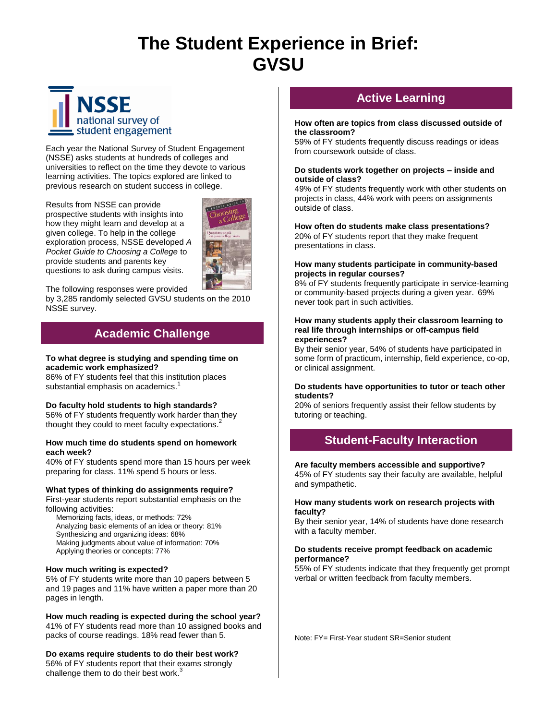# **The Student Experience in Brief: GVSU**



Each year the National Survey of Student Engagement (NSSE) asks students at hundreds of colleges and universities to reflect on the time they devote to various learning activities. The topics explored are linked to previous research on student success in college.

Results from NSSE can provide prospective students with insights into how they might learn and develop at a given college. To help in the college exploration process, NSSE developed *A Pocket Guide to Choosing a College* to provide students and parents key questions to ask during campus visits.



The following responses were provided

by 3,285 randomly selected GVSU students on the 2010 NSSE survey.

# **Academic Challenge**

# **To what degree is studying and spending time on academic work emphasized?**

86% of FY students feel that this institution places substantial emphasis on academics.<sup>1</sup>

# **Do faculty hold students to high standards?**

56% of FY students frequently work harder than they thought they could to meet faculty expectations.<sup>2</sup>

# **How much time do students spend on homework each week?**

40% of FY students spend more than 15 hours per week preparing for class. 11% spend 5 hours or less.

# **What types of thinking do assignments require?**

First-year students report substantial emphasis on the following activities:

 Memorizing facts, ideas, or methods: 72% Analyzing basic elements of an idea or theory: 81% Synthesizing and organizing ideas: 68% Making judgments about value of information: 70% Applying theories or concepts: 77%

# **How much writing is expected?**

5% of FY students write more than 10 papers between 5 and 19 pages and 11% have written a paper more than 20 pages in length.

**How much reading is expected during the school year?**  41% of FY students read more than 10 assigned books and packs of course readings. 18% read fewer than 5.

**Do exams require students to do their best work?** 56% of FY students report that their exams strongly challenge them to do their best work.<sup>3</sup>

# **Active Learning**

#### **How often are topics from class discussed outside of the classroom?**

59% of FY students frequently discuss readings or ideas from coursework outside of class.

#### **Do students work together on projects – inside and outside of class?**

49% of FY students frequently work with other students on projects in class, 44% work with peers on assignments outside of class.

**How often do students make class presentations?**  20% of FY students report that they make frequent presentations in class.

#### **How many students participate in community-based projects in regular courses?**

8% of FY students frequently participate in service-learning or community-based projects during a given year. 69% never took part in such activities.

#### **How many students apply their classroom learning to real life through internships or off-campus field experiences?**

By their senior year, 54% of students have participated in some form of practicum, internship, field experience, co-op, or clinical assignment.

#### **Do students have opportunities to tutor or teach other students?**

20% of seniors frequently assist their fellow students by tutoring or teaching.

# **Student-Faculty Interaction**

# **Are faculty members accessible and supportive?**

45% of FY students say their faculty are available, helpful and sympathetic.

#### **How many students work on research projects with faculty?**

By their senior year, 14% of students have done research with a faculty member.

#### **Do students receive prompt feedback on academic performance?**

55% of FY students indicate that they frequently get prompt verbal or written feedback from faculty members.

Note: FY= First-Year student SR=Senior student